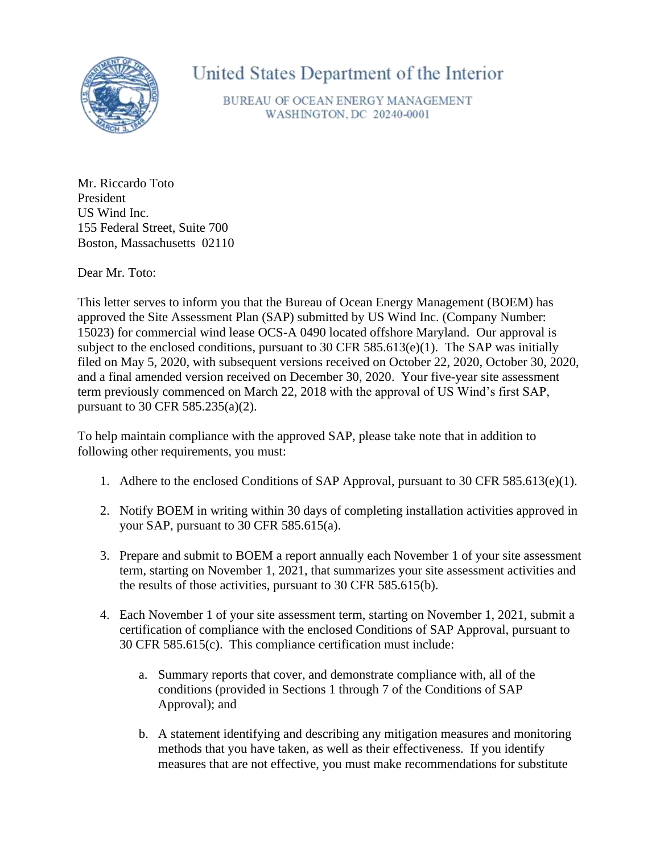

United States Department of the Interior

BUREAU OF OCEAN ENERGY MANAGEMENT WASHINGTON, DC 20240-0001

Mr. Riccardo Toto President US Wind Inc. 155 Federal Street, Suite 700 Boston, Massachusetts 02110

Dear Mr. Toto:

This letter serves to inform you that the Bureau of Ocean Energy Management (BOEM) has approved the Site Assessment Plan (SAP) submitted by US Wind Inc. (Company Number: 15023) for commercial wind lease OCS-A 0490 located offshore Maryland. Our approval is subject to the enclosed conditions, pursuant to 30 CFR 585.613(e)(1). The SAP was initially filed on May 5, 2020, with subsequent versions received on October 22, 2020, October 30, 2020, and a final amended version received on December 30, 2020. Your five-year site assessment term previously commenced on March 22, 2018 with the approval of US Wind's first SAP, pursuant to 30 CFR 585.235(a)(2).

To help maintain compliance with the approved SAP, please take note that in addition to following other requirements, you must:

- 1. Adhere to the enclosed Conditions of SAP Approval, pursuant to 30 CFR 585.613(e)(1).
- 2. Notify BOEM in writing within 30 days of completing installation activities approved in your SAP, pursuant to 30 CFR 585.615(a).
- 3. Prepare and submit to BOEM a report annually each November 1 of your site assessment term, starting on November 1, 2021, that summarizes your site assessment activities and the results of those activities, pursuant to 30 CFR 585.615(b).
- 4. Each November 1 of your site assessment term, starting on November 1, 2021, submit a certification of compliance with the enclosed Conditions of SAP Approval, pursuant to 30 CFR 585.615(c). This compliance certification must include:
	- a. Summary reports that cover, and demonstrate compliance with, all of the conditions (provided in Sections 1 through 7 of the Conditions of SAP Approval); and
	- b. A statement identifying and describing any mitigation measures and monitoring methods that you have taken, as well as their effectiveness. If you identify measures that are not effective, you must make recommendations for substitute